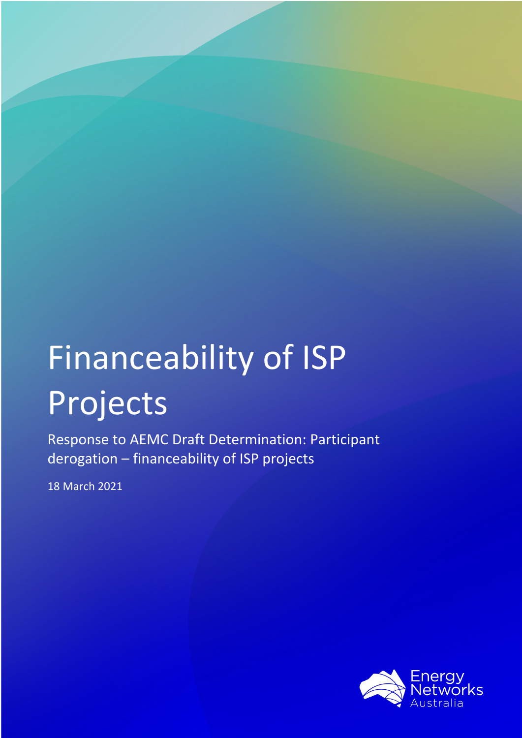# Financeability of ISP Projects

Response to AEMC Draft Determination: Participant derogation – financeability of ISP projects

18 March 2021

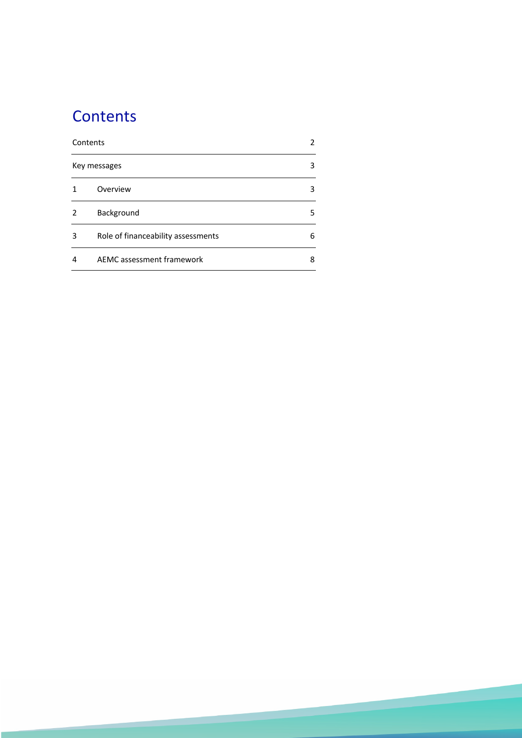# **Contents**

| Contents |                                    | 2 |
|----------|------------------------------------|---|
|          | Key messages                       | 3 |
|          | Overview                           | 3 |
| 2        | Background                         | 5 |
| 3        | Role of financeability assessments | 6 |
| 4        | AEMC assessment framework          | 8 |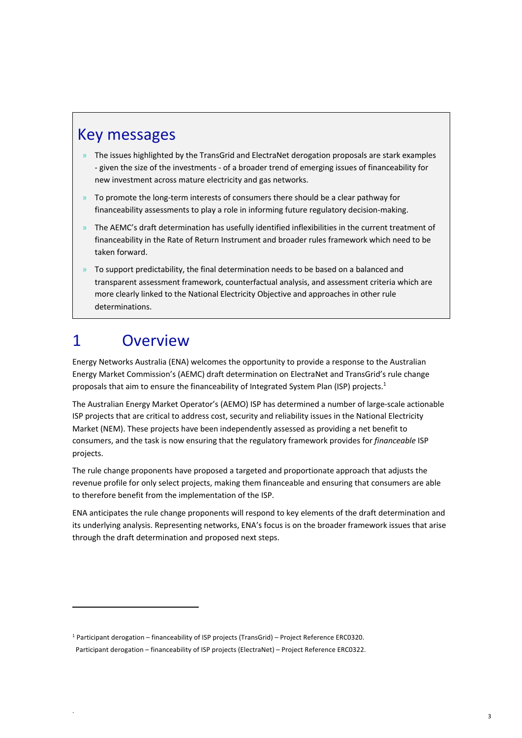# Key messages

- » The issues highlighted by the TransGrid and ElectraNet derogation proposals are stark examples - given the size of the investments - of a broader trend of emerging issues of financeability for new investment across mature electricity and gas networks.
- $\theta$  To promote the long-term interests of consumers there should be a clear pathway for financeability assessments to play a role in informing future regulatory decision-making.
- » The AEMC's draft determination has usefully identified inflexibilities in the current treatment of financeability in the Rate of Return Instrument and broader rules framework which need to be taken forward.
- » To support predictability, the final determination needs to be based on a balanced and transparent assessment framework, counterfactual analysis, and assessment criteria which are more clearly linked to the National Electricity Objective and approaches in other rule determinations.

# 1 Overview

Energy Networks Australia (ENA) welcomes the opportunity to provide a response to the Australian Energy Market Commission's (AEMC) draft determination on ElectraNet and TransGrid's rule change proposals that aim to ensure the financeability of Integrated System Plan (ISP) projects.<sup>1</sup>

The Australian Energy Market Operator's (AEMO) ISP has determined a number of large-scale actionable ISP projects that are critical to address cost, security and reliability issues in the National Electricity Market (NEM). These projects have been independently assessed as providing a net benefit to consumers, and the task is now ensuring that the regulatory framework provides for *financeable* ISP projects.

The rule change proponents have proposed a targeted and proportionate approach that adjusts the revenue profile for only select projects, making them financeable and ensuring that consumers are able to therefore benefit from the implementation of the ISP.

ENA anticipates the rule change proponents will respond to key elements of the draft determination and its underlying analysis. Representing networks, ENA's focus is on the broader framework issues that arise through the draft determination and proposed next steps.

<sup>1</sup> Participant derogation – financeability of ISP projects (TransGrid) – Project Reference ERC0320. Participant derogation – financeability of ISP projects (ElectraNet) – Project Reference ERC0322.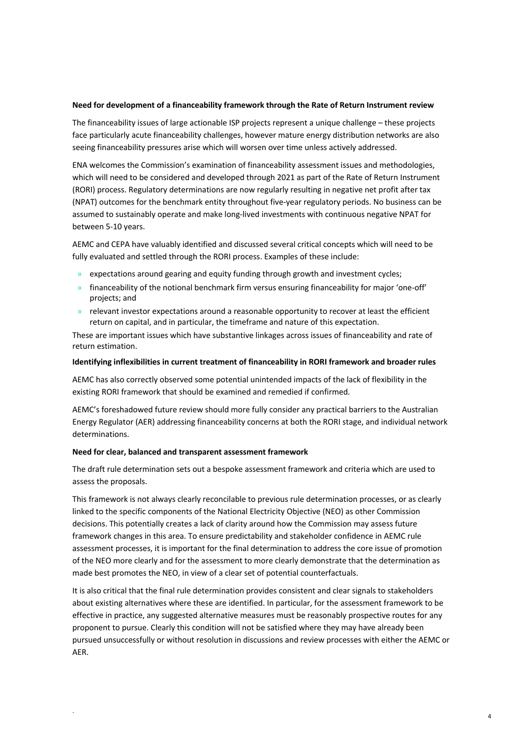#### **Need for development of a financeability framework through the Rate of Return Instrument review**

The financeability issues of large actionable ISP projects represent a unique challenge – these projects face particularly acute financeability challenges, however mature energy distribution networks are also seeing financeability pressures arise which will worsen over time unless actively addressed.

ENA welcomes the Commission's examination of financeability assessment issues and methodologies, which will need to be considered and developed through 2021 as part of the Rate of Return Instrument (RORI) process. Regulatory determinations are now regularly resulting in negative net profit after tax (NPAT) outcomes for the benchmark entity throughout five-year regulatory periods. No business can be assumed to sustainably operate and make long-lived investments with continuous negative NPAT for between 5-10 years.

AEMC and CEPA have valuably identified and discussed several critical concepts which will need to be fully evaluated and settled through the RORI process. Examples of these include:

- » expectations around gearing and equity funding through growth and investment cycles;
- » financeability of the notional benchmark firm versus ensuring financeability for major 'one-off' projects; and
- » relevant investor expectations around a reasonable opportunity to recover at least the efficient return on capital, and in particular, the timeframe and nature of this expectation.

These are important issues which have substantive linkages across issues of financeability and rate of return estimation.

#### **Identifying inflexibilities in current treatment of financeability in RORI framework and broader rules**

AEMC has also correctly observed some potential unintended impacts of the lack of flexibility in the existing RORI framework that should be examined and remedied if confirmed.

AEMC's foreshadowed future review should more fully consider any practical barriers to the Australian Energy Regulator (AER) addressing financeability concerns at both the RORI stage, and individual network determinations.

#### **Need for clear, balanced and transparent assessment framework**

The draft rule determination sets out a bespoke assessment framework and criteria which are used to assess the proposals.

This framework is not always clearly reconcilable to previous rule determination processes, or as clearly linked to the specific components of the National Electricity Objective (NEO) as other Commission decisions. This potentially creates a lack of clarity around how the Commission may assess future framework changes in this area. To ensure predictability and stakeholder confidence in AEMC rule assessment processes, it is important for the final determination to address the core issue of promotion of the NEO more clearly and for the assessment to more clearly demonstrate that the determination as made best promotes the NEO, in view of a clear set of potential counterfactuals.

It is also critical that the final rule determination provides consistent and clear signals to stakeholders about existing alternatives where these are identified. In particular, for the assessment framework to be effective in practice, any suggested alternative measures must be reasonably prospective routes for any proponent to pursue. Clearly this condition will not be satisfied where they may have already been pursued unsuccessfully or without resolution in discussions and review processes with either the AEMC or AER.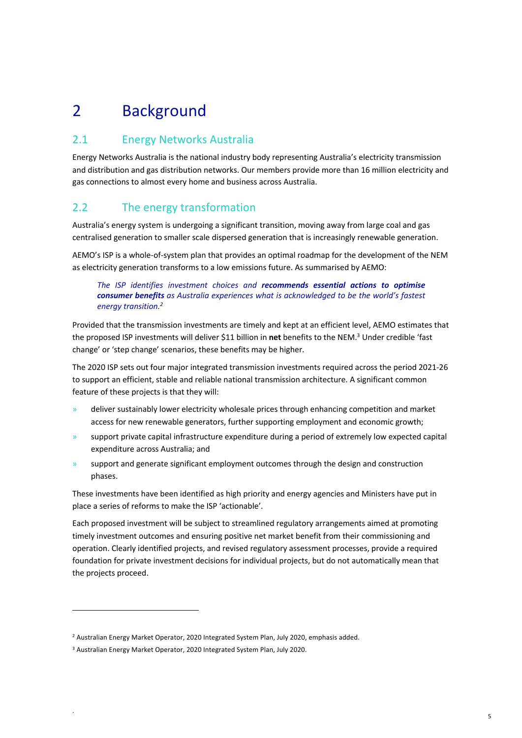# 2 Background

## 2.1 Energy Networks Australia

Energy Networks Australia is the national industry body representing Australia's electricity transmission and distribution and gas distribution networks. Our members provide more than 16 million electricity and gas connections to almost every home and business across Australia.

## 2.2 The energy transformation

Australia's energy system is undergoing a significant transition, moving away from large coal and gas centralised generation to smaller scale dispersed generation that is increasingly renewable generation.

AEMO's ISP is a whole-of-system plan that provides an optimal roadmap for the development of the NEM as electricity generation transforms to a low emissions future. As summarised by AEMO:

#### *The ISP identifies investment choices and recommends essential actions to optimise consumer benefits as Australia experiences what is acknowledged to be the world's fastest energy transition.2*

Provided that the transmission investments are timely and kept at an efficient level, AEMO estimates that the proposed ISP investments will deliver \$11 billion in **net** benefits to the NEM.3 Under credible 'fast change' or 'step change' scenarios, these benefits may be higher.

The 2020 ISP sets out four major integrated transmission investments required across the period 2021-26 to support an efficient, stable and reliable national transmission architecture. A significant common feature of these projects is that they will:

- » deliver sustainably lower electricity wholesale prices through enhancing competition and market access for new renewable generators, further supporting employment and economic growth;
- » support private capital infrastructure expenditure during a period of extremely low expected capital expenditure across Australia; and
- » support and generate significant employment outcomes through the design and construction phases.

These investments have been identified as high priority and energy agencies and Ministers have put in place a series of reforms to make the ISP 'actionable'.

Each proposed investment will be subject to streamlined regulatory arrangements aimed at promoting timely investment outcomes and ensuring positive net market benefit from their commissioning and operation. Clearly identified projects, and revised regulatory assessment processes, provide a required foundation for private investment decisions for individual projects, but do not automatically mean that the projects proceed.

<sup>&</sup>lt;sup>2</sup> Australian Energy Market Operator, 2020 Integrated System Plan, July 2020, emphasis added.

<sup>3</sup> Australian Energy Market Operator, 2020 Integrated System Plan, July 2020.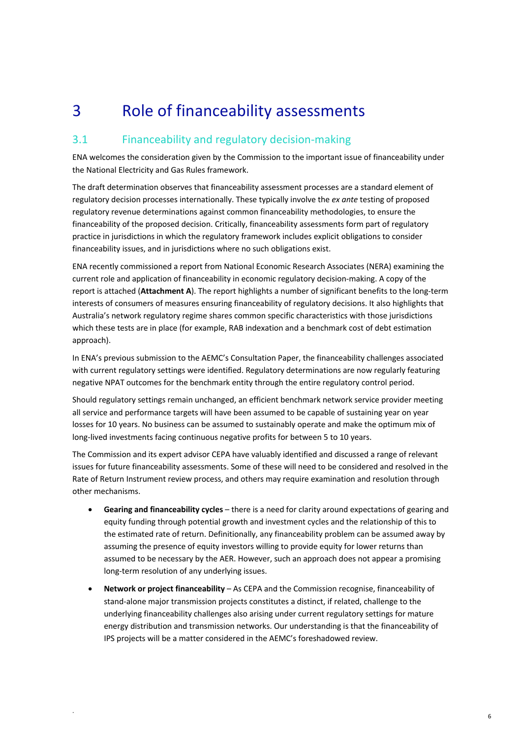# 3 Role of financeability assessments

## 3.1 Financeability and regulatory decision-making

ENA welcomes the consideration given by the Commission to the important issue of financeability under the National Electricity and Gas Rules framework.

The draft determination observes that financeability assessment processes are a standard element of regulatory decision processes internationally. These typically involve the *ex ante* testing of proposed regulatory revenue determinations against common financeability methodologies, to ensure the financeability of the proposed decision. Critically, financeability assessments form part of regulatory practice in jurisdictions in which the regulatory framework includes explicit obligations to consider financeability issues, and in jurisdictions where no such obligations exist.

ENA recently commissioned a report from National Economic Research Associates (NERA) examining the current role and application of financeability in economic regulatory decision-making. A copy of the report is attached (**Attachment A**). The report highlights a number of significant benefits to the long-term interests of consumers of measures ensuring financeability of regulatory decisions. It also highlights that Australia's network regulatory regime shares common specific characteristics with those jurisdictions which these tests are in place (for example, RAB indexation and a benchmark cost of debt estimation approach).

In ENA's previous submission to the AEMC's Consultation Paper, the financeability challenges associated with current regulatory settings were identified. Regulatory determinations are now regularly featuring negative NPAT outcomes for the benchmark entity through the entire regulatory control period.

Should regulatory settings remain unchanged, an efficient benchmark network service provider meeting all service and performance targets will have been assumed to be capable of sustaining year on year losses for 10 years. No business can be assumed to sustainably operate and make the optimum mix of long-lived investments facing continuous negative profits for between 5 to 10 years.

The Commission and its expert advisor CEPA have valuably identified and discussed a range of relevant issues for future financeability assessments. Some of these will need to be considered and resolved in the Rate of Return Instrument review process, and others may require examination and resolution through other mechanisms.

- **Gearing and financeability cycles** there is a need for clarity around expectations of gearing and equity funding through potential growth and investment cycles and the relationship of this to the estimated rate of return. Definitionally, any financeability problem can be assumed away by assuming the presence of equity investors willing to provide equity for lower returns than assumed to be necessary by the AER. However, such an approach does not appear a promising long-term resolution of any underlying issues.
- **Network or project financeability** As CEPA and the Commission recognise, financeability of stand-alone major transmission projects constitutes a distinct, if related, challenge to the underlying financeability challenges also arising under current regulatory settings for mature energy distribution and transmission networks. Our understanding is that the financeability of IPS projects will be a matter considered in the AEMC's foreshadowed review.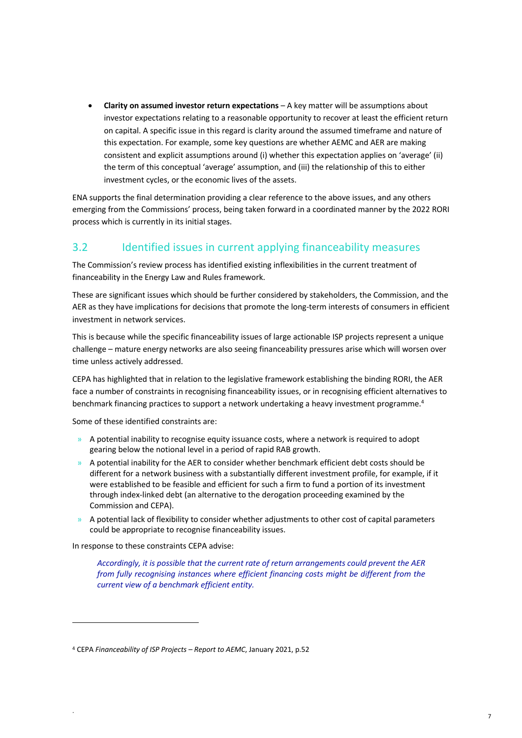• **Clarity on assumed investor return expectations** – A key matter will be assumptions about investor expectations relating to a reasonable opportunity to recover at least the efficient return on capital. A specific issue in this regard is clarity around the assumed timeframe and nature of this expectation. For example, some key questions are whether AEMC and AER are making consistent and explicit assumptions around (i) whether this expectation applies on 'average' (ii) the term of this conceptual 'average' assumption, and (iii) the relationship of this to either investment cycles, or the economic lives of the assets.

ENA supports the final determination providing a clear reference to the above issues, and any others emerging from the Commissions' process, being taken forward in a coordinated manner by the 2022 RORI process which is currently in its initial stages.

## 3.2 Identified issues in current applying financeability measures

The Commission's review process has identified existing inflexibilities in the current treatment of financeability in the Energy Law and Rules framework.

These are significant issues which should be further considered by stakeholders, the Commission, and the AER as they have implications for decisions that promote the long-term interests of consumers in efficient investment in network services.

This is because while the specific financeability issues of large actionable ISP projects represent a unique challenge – mature energy networks are also seeing financeability pressures arise which will worsen over time unless actively addressed.

CEPA has highlighted that in relation to the legislative framework establishing the binding RORI, the AER face a number of constraints in recognising financeability issues, or in recognising efficient alternatives to benchmark financing practices to support a network undertaking a heavy investment programme.<sup>4</sup>

Some of these identified constraints are:

- » A potential inability to recognise equity issuance costs, where a network is required to adopt gearing below the notional level in a period of rapid RAB growth.
- » A potential inability for the AER to consider whether benchmark efficient debt costs should be different for a network business with a substantially different investment profile, for example, if it were established to be feasible and efficient for such a firm to fund a portion of its investment through index-linked debt (an alternative to the derogation proceeding examined by the Commission and CEPA).
- » A potential lack of flexibility to consider whether adjustments to other cost of capital parameters could be appropriate to recognise financeability issues.

In response to these constraints CEPA advise:

*Accordingly, it is possible that the current rate of return arrangements could prevent the AER from fully recognising instances where efficient financing costs might be different from the current view of a benchmark efficient entity.*

<sup>4</sup> CEPA *Financeability of ISP Projects – Report to AEMC*, January 2021, p.52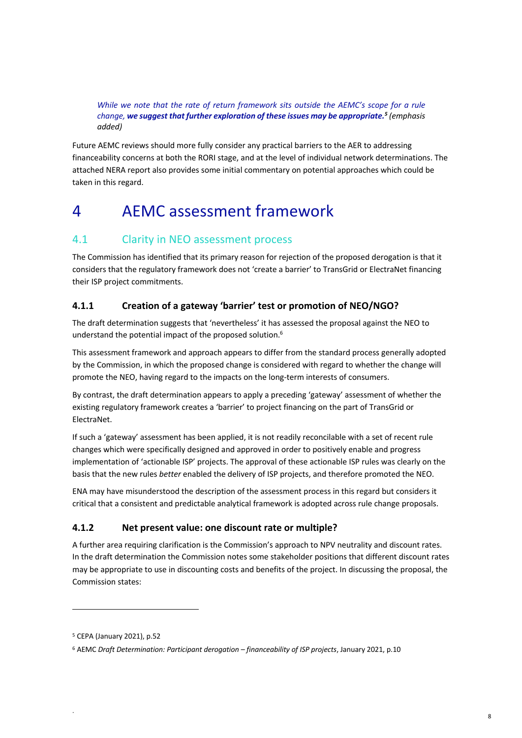*While we note that the rate of return framework sits outside the AEMC's scope for a rule change, we suggest that further exploration of these issues may be appropriate.5 (emphasis added)*

Future AEMC reviews should more fully consider any practical barriers to the AER to addressing financeability concerns at both the RORI stage, and at the level of individual network determinations. The attached NERA report also provides some initial commentary on potential approaches which could be taken in this regard.

# 4 AEMC assessment framework

## 4.1 Clarity in NEO assessment process

The Commission has identified that its primary reason for rejection of the proposed derogation is that it considers that the regulatory framework does not 'create a barrier' to TransGrid or ElectraNet financing their ISP project commitments.

### **4.1.1 Creation of a gateway 'barrier' test or promotion of NEO/NGO?**

The draft determination suggests that 'nevertheless' it has assessed the proposal against the NEO to understand the potential impact of the proposed solution.<sup>6</sup>

This assessment framework and approach appears to differ from the standard process generally adopted by the Commission, in which the proposed change is considered with regard to whether the change will promote the NEO, having regard to the impacts on the long-term interests of consumers.

By contrast, the draft determination appears to apply a preceding 'gateway' assessment of whether the existing regulatory framework creates a 'barrier' to project financing on the part of TransGrid or ElectraNet.

If such a 'gateway' assessment has been applied, it is not readily reconcilable with a set of recent rule changes which were specifically designed and approved in order to positively enable and progress implementation of 'actionable ISP' projects. The approval of these actionable ISP rules was clearly on the basis that the new rules *better* enabled the delivery of ISP projects, and therefore promoted the NEO.

ENA may have misunderstood the description of the assessment process in this regard but considers it critical that a consistent and predictable analytical framework is adopted across rule change proposals.

#### **4.1.2 Net present value: one discount rate or multiple?**

A further area requiring clarification is the Commission's approach to NPV neutrality and discount rates. In the draft determination the Commission notes some stakeholder positions that different discount rates may be appropriate to use in discounting costs and benefits of the project. In discussing the proposal, the Commission states:

<sup>5</sup> CEPA (January 2021), p.52

<sup>6</sup> AEMC *Draft Determination: Participant derogation – financeability of ISP projects*, January 2021, p.10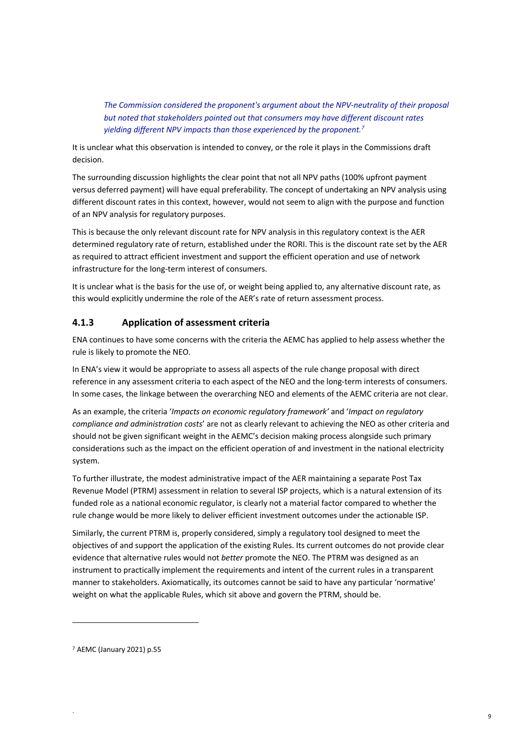*The Commission considered the proponent's argument about the NPV-neutrality of their proposal but noted that stakeholders pointed out that consumers may have different discount rates yielding different NPV impacts than those experienced by the proponent.7*

It is unclear what this observation is intended to convey, or the role it plays in the Commissions draft decision.

The surrounding discussion highlights the clear point that not all NPV paths (100% upfront payment versus deferred payment) will have equal preferability. The concept of undertaking an NPV analysis using different discount rates in this context, however, would not seem to align with the purpose and function of an NPV analysis for regulatory purposes.

This is because the only relevant discount rate for NPV analysis in this regulatory context is the AER determined regulatory rate of return, established under the RORI. This is the discount rate set by the AER as required to attract efficient investment and support the efficient operation and use of network infrastructure for the long-term interest of consumers.

It is unclear what is the basis for the use of, or weight being applied to, any alternative discount rate, as this would explicitly undermine the role of the AER's rate of return assessment process.

#### **4.1.3 Application of assessment criteria**

ENA continues to have some concerns with the criteria the AEMC has applied to help assess whether the rule is likely to promote the NEO.

In ENA's view it would be appropriate to assess all aspects of the rule change proposal with direct reference in any assessment criteria to each aspect of the NEO and the long-term interests of consumers. In some cases, the linkage between the overarching NEO and elements of the AEMC criteria are not clear.

As an example, the criteria '*Impacts on economic regulatory framework'* and '*Impact on regulatory compliance and administration costs*' are not as clearly relevant to achieving the NEO as other criteria and should not be given significant weight in the AEMC's decision making process alongside such primary considerations such as the impact on the efficient operation of and investment in the national electricity system.

To further illustrate, the modest administrative impact of the AER maintaining a separate Post Tax Revenue Model (PTRM) assessment in relation to several ISP projects, which is a natural extension of its funded role as a national economic regulator, is clearly not a material factor compared to whether the rule change would be more likely to deliver efficient investment outcomes under the actionable ISP.

Similarly, the current PTRM is, properly considered, simply a regulatory tool designed to meet the objectives of and support the application of the existing Rules. Its current outcomes do not provide clear evidence that alternative rules would not *better* promote the NEO. The PTRM was designed as an instrument to practically implement the requirements and intent of the current rules in a transparent manner to stakeholders. Axiomatically, its outcomes cannot be said to have any particular 'normative' weight on what the applicable Rules, which sit above and govern the PTRM, should be.

<sup>7</sup> AEMC (January 2021) p.55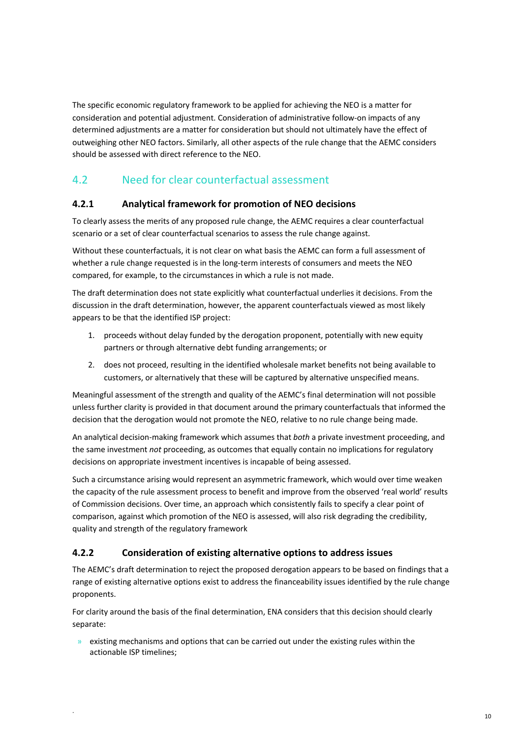The specific economic regulatory framework to be applied for achieving the NEO is a matter for consideration and potential adjustment. Consideration of administrative follow-on impacts of any determined adjustments are a matter for consideration but should not ultimately have the effect of outweighing other NEO factors. Similarly, all other aspects of the rule change that the AEMC considers should be assessed with direct reference to the NEO.

## 4.2 Need for clear counterfactual assessment

#### **4.2.1 Analytical framework for promotion of NEO decisions**

To clearly assess the merits of any proposed rule change, the AEMC requires a clear counterfactual scenario or a set of clear counterfactual scenarios to assess the rule change against.

Without these counterfactuals, it is not clear on what basis the AEMC can form a full assessment of whether a rule change requested is in the long-term interests of consumers and meets the NEO compared, for example, to the circumstances in which a rule is not made.

The draft determination does not state explicitly what counterfactual underlies it decisions. From the discussion in the draft determination, however, the apparent counterfactuals viewed as most likely appears to be that the identified ISP project:

- 1. proceeds without delay funded by the derogation proponent, potentially with new equity partners or through alternative debt funding arrangements; or
- 2. does not proceed, resulting in the identified wholesale market benefits not being available to customers, or alternatively that these will be captured by alternative unspecified means.

Meaningful assessment of the strength and quality of the AEMC's final determination will not possible unless further clarity is provided in that document around the primary counterfactuals that informed the decision that the derogation would not promote the NEO, relative to no rule change being made.

An analytical decision-making framework which assumes that *both* a private investment proceeding, and the same investment *not* proceeding, as outcomes that equally contain no implications for regulatory decisions on appropriate investment incentives is incapable of being assessed.

Such a circumstance arising would represent an asymmetric framework, which would over time weaken the capacity of the rule assessment process to benefit and improve from the observed 'real world' results of Commission decisions. Over time, an approach which consistently fails to specify a clear point of comparison, against which promotion of the NEO is assessed, will also risk degrading the credibility, quality and strength of the regulatory framework

#### **4.2.2 Consideration of existing alternative options to address issues**

The AEMC's draft determination to reject the proposed derogation appears to be based on findings that a range of existing alternative options exist to address the financeability issues identified by the rule change proponents.

For clarity around the basis of the final determination, ENA considers that this decision should clearly separate:

 $\lambda$  existing mechanisms and options that can be carried out under the existing rules within the actionable ISP timelines;